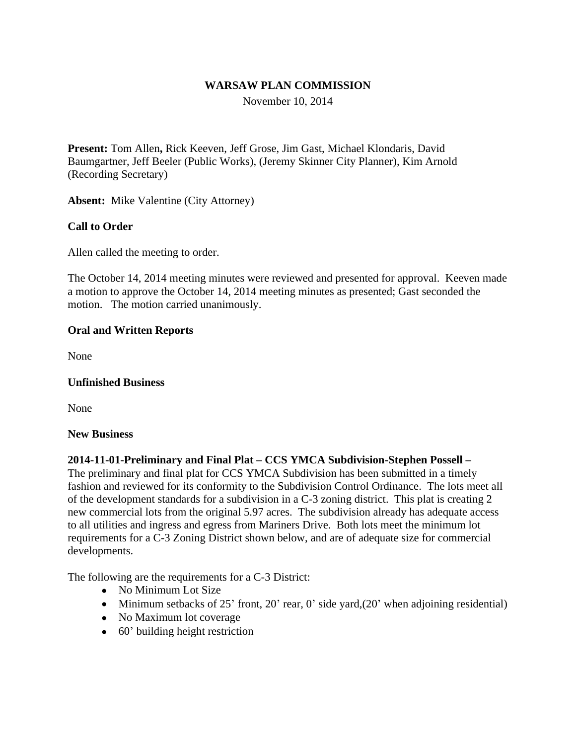### **WARSAW PLAN COMMISSION**

November 10, 2014

**Present:** Tom Allen**,** Rick Keeven, Jeff Grose, Jim Gast, Michael Klondaris, David Baumgartner, Jeff Beeler (Public Works), (Jeremy Skinner City Planner), Kim Arnold (Recording Secretary)

**Absent:** Mike Valentine (City Attorney)

## **Call to Order**

Allen called the meeting to order.

The October 14, 2014 meeting minutes were reviewed and presented for approval. Keeven made a motion to approve the October 14, 2014 meeting minutes as presented; Gast seconded the motion. The motion carried unanimously.

#### **Oral and Written Reports**

None

#### **Unfinished Business**

None

#### **New Business**

#### **2014-11-01-Preliminary and Final Plat – CCS YMCA Subdivision-Stephen Possell –**

The preliminary and final plat for CCS YMCA Subdivision has been submitted in a timely fashion and reviewed for its conformity to the Subdivision Control Ordinance. The lots meet all of the development standards for a subdivision in a C-3 zoning district. This plat is creating 2 new commercial lots from the original 5.97 acres. The subdivision already has adequate access to all utilities and ingress and egress from Mariners Drive. Both lots meet the minimum lot requirements for a C-3 Zoning District shown below, and are of adequate size for commercial developments.

The following are the requirements for a C-3 District:

- No Minimum Lot Size
- Minimum setbacks of  $25'$  front,  $20'$  rear,  $0'$  side yard, $(20'$  when adjoining residential)
- No Maximum lot coverage
- 60' building height restriction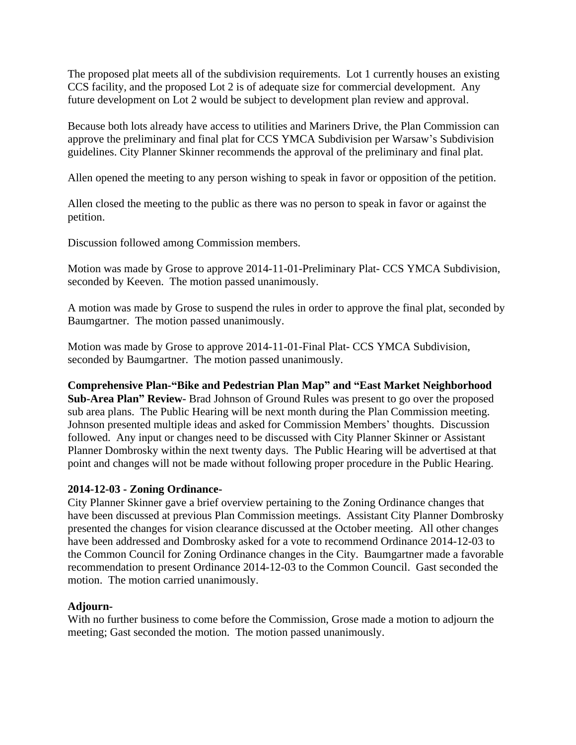The proposed plat meets all of the subdivision requirements. Lot 1 currently houses an existing CCS facility, and the proposed Lot 2 is of adequate size for commercial development. Any future development on Lot 2 would be subject to development plan review and approval.

Because both lots already have access to utilities and Mariners Drive, the Plan Commission can approve the preliminary and final plat for CCS YMCA Subdivision per Warsaw's Subdivision guidelines. City Planner Skinner recommends the approval of the preliminary and final plat.

Allen opened the meeting to any person wishing to speak in favor or opposition of the petition.

Allen closed the meeting to the public as there was no person to speak in favor or against the petition.

Discussion followed among Commission members.

Motion was made by Grose to approve 2014-11-01-Preliminary Plat- CCS YMCA Subdivision, seconded by Keeven. The motion passed unanimously.

A motion was made by Grose to suspend the rules in order to approve the final plat, seconded by Baumgartner. The motion passed unanimously.

Motion was made by Grose to approve 2014-11-01-Final Plat- CCS YMCA Subdivision, seconded by Baumgartner. The motion passed unanimously.

**Comprehensive Plan-"Bike and Pedestrian Plan Map" and "East Market Neighborhood** 

**Sub-Area Plan" Review-** Brad Johnson of Ground Rules was present to go over the proposed sub area plans. The Public Hearing will be next month during the Plan Commission meeting. Johnson presented multiple ideas and asked for Commission Members' thoughts. Discussion followed. Any input or changes need to be discussed with City Planner Skinner or Assistant Planner Dombrosky within the next twenty days. The Public Hearing will be advertised at that point and changes will not be made without following proper procedure in the Public Hearing.

## **2014-12-03 - Zoning Ordinance-**

City Planner Skinner gave a brief overview pertaining to the Zoning Ordinance changes that have been discussed at previous Plan Commission meetings. Assistant City Planner Dombrosky presented the changes for vision clearance discussed at the October meeting. All other changes have been addressed and Dombrosky asked for a vote to recommend Ordinance 2014-12-03 to the Common Council for Zoning Ordinance changes in the City. Baumgartner made a favorable recommendation to present Ordinance 2014-12-03 to the Common Council. Gast seconded the motion. The motion carried unanimously.

#### **Adjourn-**

With no further business to come before the Commission, Grose made a motion to adjourn the meeting; Gast seconded the motion. The motion passed unanimously.